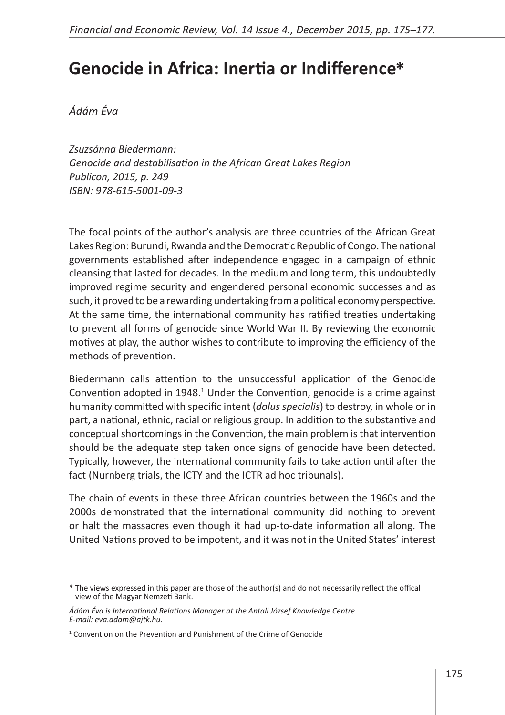## **Genocide in Africa: Inertia or Indifference \***

*Ádám Éva* 

*Zsuzsánna Biedermann: Genocide and destabilisation in the African Great Lakes Region Publicon, 2015, p. 249 ISBN: 978-615-5001-09-3*

The focal points of the author's analysis are three countries of the African Great Lakes Region: Burundi, Rwanda and the Democratic Republic of Congo. The national governments established after independence engaged in a campaign of ethnic cleansing that lasted for decades. In the medium and long term, this undoubtedly improved regime security and engendered personal economic successes and as such, it proved to be a rewarding undertaking from a political economy perspective. At the same time, the international community has ratified treaties undertaking to prevent all forms of genocide since World War II. By reviewing the economic motives at play, the author wishes to contribute to improving the efficiency of the methods of prevention.

Biedermann calls attention to the unsuccessful application of the Genocide Convention adopted in 1948.<sup>1</sup> Under the Convention, genocide is a crime against humanity committed with specific intent (*dolus specialis*) to destroy, in whole or in part, a national, ethnic, racial or religious group. In addition to the substantive and conceptual shortcomings in the Convention, the main problem is that intervention should be the adequate step taken once signs of genocide have been detected. Typically, however, the international community fails to take action until after the fact (Nurnberg trials, the ICTY and the ICTR ad hoc tribunals).

The chain of events in these three African countries between the 1960s and the 2000s demonstrated that the international community did nothing to prevent or halt the massacres even though it had up-to-date information all along. The United Nations proved to be impotent, and it was not in the United States' interest

<sup>\*</sup> The views expressed in this paper are those of the author(s) and do not necessarily reflect the offical view of the Magyar Nemzeti Bank.

*Ádám Éva is International Relations Manager at the Antall József Knowledge Centre E-mail: eva.adam@ajtk.hu.*

<sup>&</sup>lt;sup>1</sup> Convention on the Prevention and Punishment of the Crime of Genocide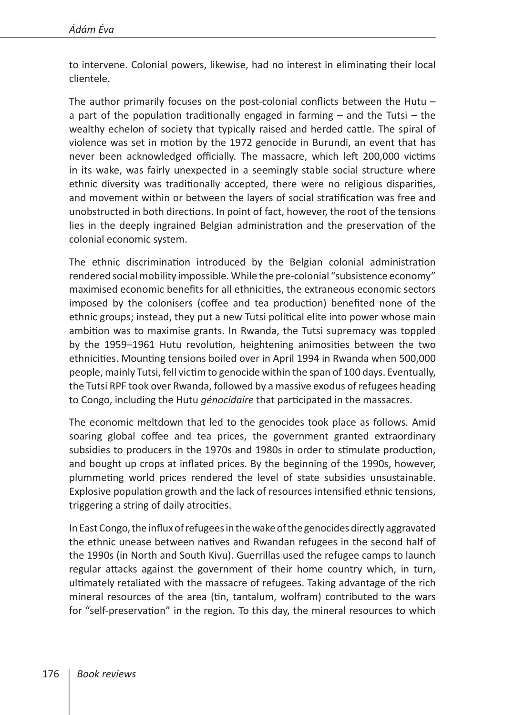to intervene. Colonial powers, likewise, had no interest in eliminating their local clientele.

The author primarily focuses on the post-colonial conflicts between the Hutu – a part of the population traditionally engaged in farming – and the Tutsi – the wealthy echelon of society that typically raised and herded cattle. The spiral of violence was set in motion by the 1972 genocide in Burundi, an event that has never been acknowledged officially. The massacre, which left 200,000 victims in its wake, was fairly unexpected in a seemingly stable social structure where ethnic diversity was traditionally accepted, there were no religious disparities, and movement within or between the layers of social stratification was free and unobstructed in both directions. In point of fact, however, the root of the tensions lies in the deeply ingrained Belgian administration and the preservation of the colonial economic system.

The ethnic discrimination introduced by the Belgian colonial administration rendered social mobility impossible. While the pre-colonial "subsistence economy" maximised economic benefits for all ethnicities, the extraneous economic sectors imposed by the colonisers (coffee and tea production) benefited none of the ethnic groups; instead, they put a new Tutsi political elite into power whose main ambition was to maximise grants. In Rwanda, the Tutsi supremacy was toppled by the 1959–1961 Hutu revolution, heightening animosities between the two ethnicities. Mounting tensions boiled over in April 1994 in Rwanda when 500,000 people, mainly Tutsi, fell victim to genocide within the span of 100 days. Eventually, the Tutsi RPF took over Rwanda, followed by a massive exodus of refugees heading to Congo, including the Hutu *génocidaire* that participated in the massacres.

The economic meltdown that led to the genocides took place as follows. Amid soaring global coffee and tea prices, the government granted extraordinary subsidies to producers in the 1970s and 1980s in order to stimulate production, and bought up crops at inflated prices. By the beginning of the 1990s, however, plummeting world prices rendered the level of state subsidies unsustainable. Explosive population growth and the lack of resources intensified ethnic tensions, triggering a string of daily atrocities.

In East Congo, the influx of refugees in the wake of the genocides directly aggravated the ethnic unease between natives and Rwandan refugees in the second half of the 1990s (in North and South Kivu). Guerrillas used the refugee camps to launch regular attacks against the government of their home country which, in turn, ultimately retaliated with the massacre of refugees. Taking advantage of the rich mineral resources of the area (tin, tantalum, wolfram) contributed to the wars for "self-preservation" in the region. To this day, the mineral resources to which